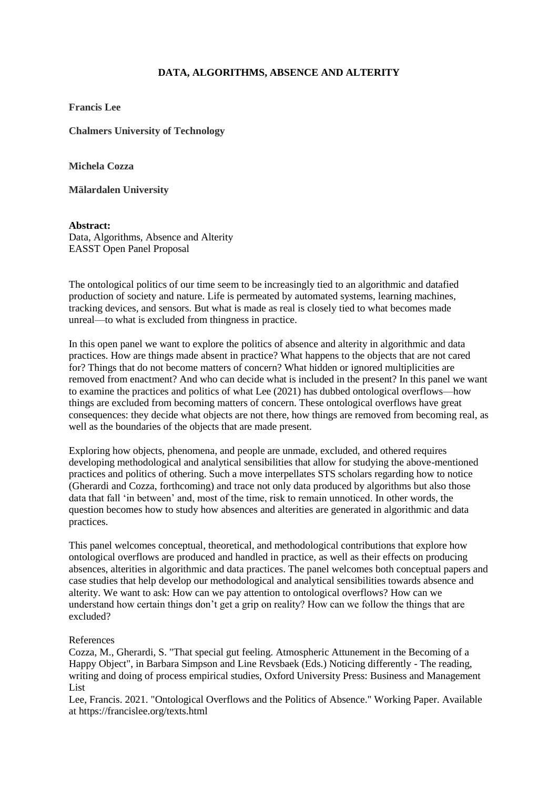## **DATA, ALGORITHMS, ABSENCE AND ALTERITY**

**Francis Lee**

**Chalmers University of Technology**

**Michela Cozza**

**Mälardalen University**

**Abstract:** Data, Algorithms, Absence and Alterity EASST Open Panel Proposal

The ontological politics of our time seem to be increasingly tied to an algorithmic and datafied production of society and nature. Life is permeated by automated systems, learning machines, tracking devices, and sensors. But what is made as real is closely tied to what becomes made unreal—to what is excluded from thingness in practice.

In this open panel we want to explore the politics of absence and alterity in algorithmic and data practices. How are things made absent in practice? What happens to the objects that are not cared for? Things that do not become matters of concern? What hidden or ignored multiplicities are removed from enactment? And who can decide what is included in the present? In this panel we want to examine the practices and politics of what Lee (2021) has dubbed ontological overflows—how things are excluded from becoming matters of concern. These ontological overflows have great consequences: they decide what objects are not there, how things are removed from becoming real, as well as the boundaries of the objects that are made present.

Exploring how objects, phenomena, and people are unmade, excluded, and othered requires developing methodological and analytical sensibilities that allow for studying the above-mentioned practices and politics of othering. Such a move interpellates STS scholars regarding how to notice (Gherardi and Cozza, forthcoming) and trace not only data produced by algorithms but also those data that fall 'in between' and, most of the time, risk to remain unnoticed. In other words, the question becomes how to study how absences and alterities are generated in algorithmic and data practices.

This panel welcomes conceptual, theoretical, and methodological contributions that explore how ontological overflows are produced and handled in practice, as well as their effects on producing absences, alterities in algorithmic and data practices. The panel welcomes both conceptual papers and case studies that help develop our methodological and analytical sensibilities towards absence and alterity. We want to ask: How can we pay attention to ontological overflows? How can we understand how certain things don't get a grip on reality? How can we follow the things that are excluded?

## References

Cozza, M., Gherardi, S. "That special gut feeling. Atmospheric Attunement in the Becoming of a Happy Object", in Barbara Simpson and Line Revsbaek (Eds.) Noticing differently - The reading, writing and doing of process empirical studies, Oxford University Press: Business and Management List

Lee, Francis. 2021. "Ontological Overflows and the Politics of Absence." Working Paper. Available at https://francislee.org/texts.html